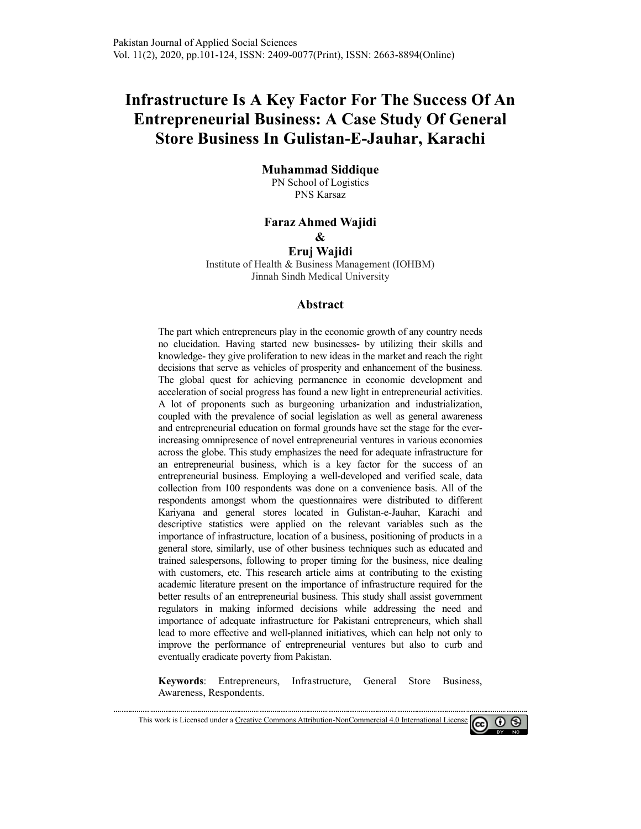# Infrastructure Is A Key Factor For The Success Of An **Entrepreneurial Business: A Case Study Of General Store Business usiness In Gulistan-E-Jauhar, Karachi**

#### **Muhammad Siddique**

PN School of Logistics PNS Karsaz

#### **Faraz Ahmed Wajidi**

**&** 

**Eruj Wajidi**

Institute of Health & Business Management (IOHBM) Jinnah Sindh Medical University

#### **Abstract**

The part which entrepreneurs play in the economic growth of any country needs no elucidation. Having started new businesses- by utilizing their skills and knowledge-they give proliferation to new ideas in the market and reach the right decisions that serve as vehicles of prosperity and enhancement of the business. The global quest for achieving permanence in economic development and acceleration of social progress has found a new light in entrepreneurial activities. A lot of proponents such as burgeoning urbanization and industrialization, A lot of proponents such as burgeoning urbanization and industrialization, coupled with the prevalence of social legislation as well as general awareness and entrepreneurial education on formal grounds have set the stage for the ever and entrepreneurial education on formal grounds have set the stage for the ever-<br>increasing omnipresence of novel entrepreneurial ventures in various economies across the globe. This study emphasizes the need for adequate infrastructure for an entrepreneurial business, which is a key factor for the success of an entrepreneurial business. Employing a well-developed and verified scale, data collection from 100 respondents was done on a convenience basis. All of the respondents amongst whom the questionnaires were distributed to different Kariyana and general stores located in Gulistan Gulistan-e-Jauhar, Karachi and descriptive statistics were applied on the relevant variables such as the importance of infrastructure, location of a business, positioning of products in a general store, similarly, use of other business techniques such as educated and trained salespersons, following to proper timing for the business, nice dealing with customers, etc. This research article aims at contributing to the existing academic literature present on the importance of infrastructure required for the better results of an entrepreneurial business. This study shall assist government regulators in making informed decisions while addressing the need and importance of adequate infrastructure for Pakistani entrepreneurs, which shall lead to more effective and well-planned initiatives, which can help not only to improve the performance of entrepreneurial ventures but also to curb and eventually eradicate poverty from Pakistan. by utilizing their skills and<br>the market and reach the right<br>enhancement of the business.<br>economic development and<br>t in entrepreneurial activities.<br>ization and industrialization,<br>as well as general awareness<br>ave set the st Employing a well-developed and verified scale, data<br>ondents was done on a convenience basis. All of the<br>om the questionnaires were distributed to different<br>stores located in Gulistan-e-Jauhar, Karachi and<br>re applied on the

eventually eradicate poverty from Pakistan.<br>**Keywords**: Entrepreneurs, Infrastructure, General Store Business Awareness, Respondents.



This work is Licensed under a Creative Commons Attribution Attribution-NonCommercial 4.0 International License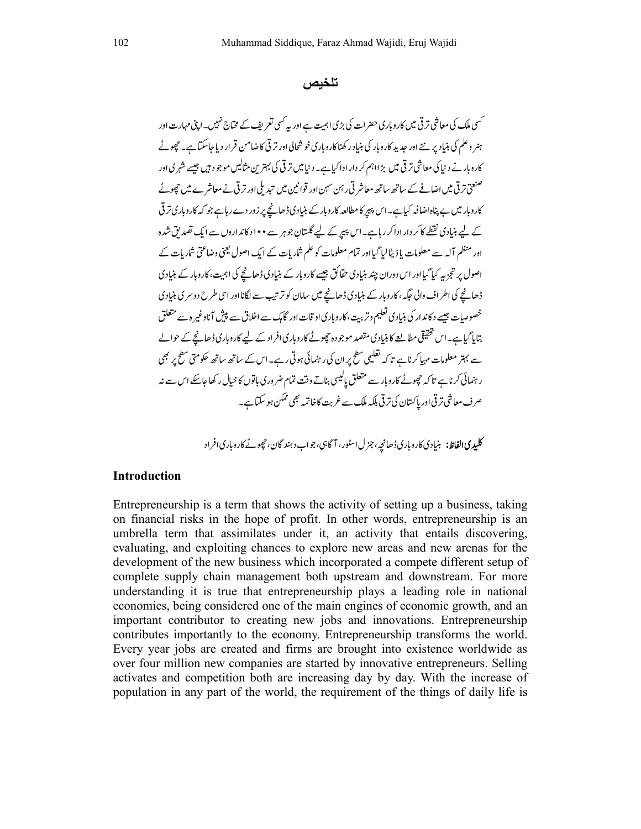**تلخیص**

کسی ملک کی معاشی ترقی میں کاروباری حضرات کی بڑی اہمیت ہے اور یہ کسی تعریف کے مختاج نہیں۔اپنی مہارت اور ہنر وعلم کی بنیاد پر نئے اور حدید کاروبار کی بنیاد رکھناکاروباری خوشحالی اور ترقی کاضامن قرار دیاجاسکتا ہے۔ حچوٹے کاروبار نے دنیا کی معاشی ترقی میں بڑااہم کر دار ادا کیاہے۔دنیا میں ترقی کی بہترین مثالیں موجود ہیں جیسے شہری اور سنسختی تر ٹی میں اضافے کے ساتھ ساتھ معاشر ٹی رہن سہن اور قوانین میں تبدیلی اور تر ٹی نے معاشر ے میں حچھوٹے  $\overline{a}$ کاروبار میں بے پناہ اضافہ کیاہے۔اس پیپر کا مطالعہ کاروبار کے بنیادی ڈھانچے پر زور دےرہاہے جو کہ کاروباری تر فی کے لیے بنیادی نقطے کا کر دار ادا کررہاہے۔اس پیر کے لیے گلستان جوہر سے • • ا د کاند اروں سے ایک تصدیق شدہ اور منظم آلہ سے معلومات باڈ پٹالیا گیا اور تمام معلومات کو علم شاریات کے ایک اصول یعنی وضاعتی شاریات کے اصول پر تجزیہ کیا گیا اور اس دوران چند بنیادی حقائق جیسے کاروبار کے بنیادی ڈھانچے کی اہمیت، کاروبار کے بنیادی ڈھانچے کی اطراف والی جگہ ، کاروبار کے بنیادی ڈھانچے میں سامان کو ترتیب سے لگانااور اسی طرح دوسری بنیادی خصوصات جیسے د کاندار کی بنیادی تعلیم وتربت، کاروباری او قات اور گامک سے اخلاق سے پیش آناوغیر ہ سے متعلق بتایا گیاہے۔اس تحقیقی مطالعے کا بنیادی مقصد موجودہ حچوٹے کاروباری افراد کے لیے کاروباری ڈھانچے کے حوالے سے بہتر معلومات مہیا کرناہے تاکہ تعلیمی سطح پر ان کی رہنمائی ہوتی رہے۔ اس کے ساتھ ساتھ حکومتی سطح پر بھی رہنمائی کرناہے تا کہ چچوٹے کاروبار سے متعلق پالیسی بناتے وقت تمام ضر وری باتوں کا خیال رکھا جاسکے اس سے نہر صرف معاشی تر قی اور پاکستان کی تر قی ہلکہ ملک سے غربت کاخاتمہ بھی ممکن ہو سکتاہے۔

**کلیدی الفاظ:** بنیادی کاروباری ڈھانچہ، جز ل اسٹور، آگاہی، جواب دہند گان، چھوٹے کاروباری افراد

#### **Introduction**

Entrepreneurship is a term that shows the activity of setting up a business, taking on financial risks in the hope of profit. In other words, entrepreneurship is an umbrella term that assimilates under it, an activity that entails discovering, evaluating, and exploiting chances to explore new areas and new arenas for the development of the new business which incorporated a compete different setup of complete supply chain management both upstream and downstream. For more understanding it is true that entrepreneurship plays a leading role in national economies, being considered one of the main engines of economic growth, and an important contributor to creating new jobs and innovations. Entrepreneurship contributes importantly to the economy. Entrepreneurship transforms the world. Every year jobs are created and firms are brought into existence worldwide as over four million new companies are started by innovative entrepreneurs. Selling activates and competition both are increasing day by day. With the increase of population in any part of the world, the requirement of the things of daily life is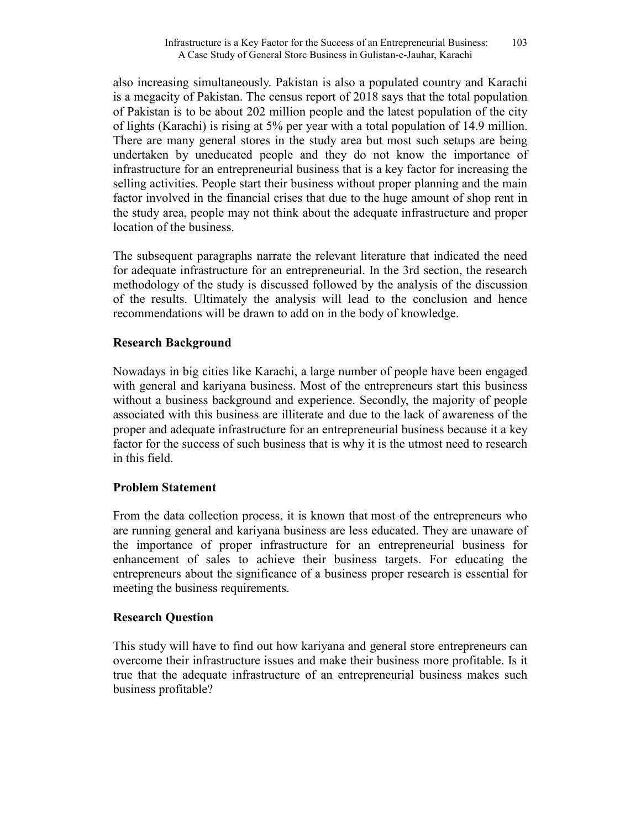also increasing simultaneously. Pakistan is also a populated country and Karachi is a megacity of Pakistan. The census report of 2018 says that the total population of Pakistan is to be about 202 million people and the latest population of the city of lights (Karachi) is rising at 5% per year with a total population of 14.9 million. There are many general stores in the study area but most such setups are being undertaken by uneducated people and they do not know the importance of infrastructure for an entrepreneurial business that is a key factor for increasing the selling activities. People start their business without proper planning and the main factor involved in the financial crises that due to the huge amount of shop rent in the study area, people may not think about the adequate infrastructure and proper location of the business.

The subsequent paragraphs narrate the relevant literature that indicated the need for adequate infrastructure for an entrepreneurial. In the 3rd section, the research methodology of the study is discussed followed by the analysis of the discussion of the results. Ultimately the analysis will lead to the conclusion and hence recommendations will be drawn to add on in the body of knowledge.

### **Research Background**

Nowadays in big cities like Karachi, a large number of people have been engaged with general and kariyana business. Most of the entrepreneurs start this business without a business background and experience. Secondly, the majority of people associated with this business are illiterate and due to the lack of awareness of the proper and adequate infrastructure for an entrepreneurial business because it a key factor for the success of such business that is why it is the utmost need to research in this field.

### **Problem Statement**

From the data collection process, it is known that most of the entrepreneurs who are running general and kariyana business are less educated. They are unaware of the importance of proper infrastructure for an entrepreneurial business for enhancement of sales to achieve their business targets. For educating the entrepreneurs about the significance of a business proper research is essential for meeting the business requirements.

### **Research Question**

This study will have to find out how kariyana and general store entrepreneurs can overcome their infrastructure issues and make their business more profitable. Is it true that the adequate infrastructure of an entrepreneurial business makes such business profitable?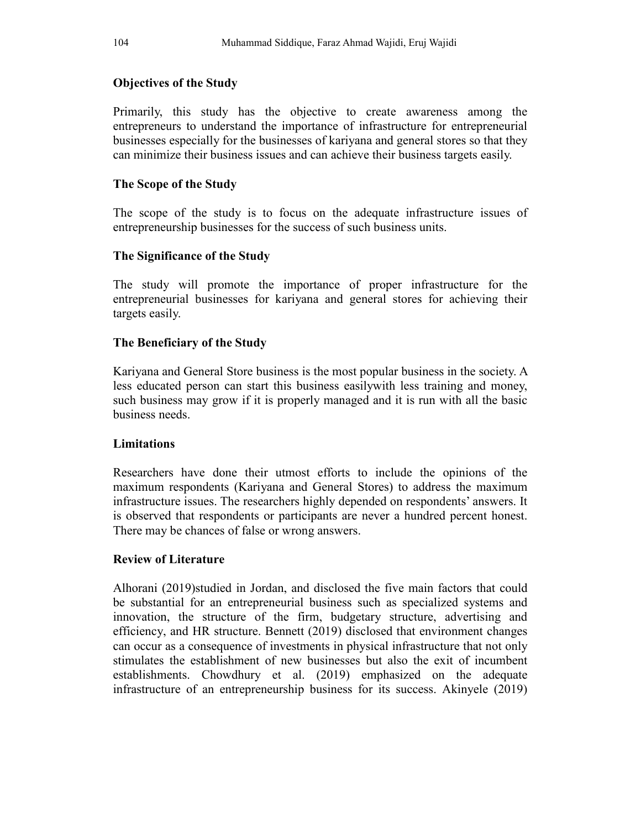# **Objectives of the Study**

Primarily, this study has the objective to create awareness among the entrepreneurs to understand the importance of infrastructure for entrepreneurial businesses especially for the businesses of kariyana and general stores so that they can minimize their business issues and can achieve their business targets easily.

# **The Scope of the Study**

The scope of the study is to focus on the adequate infrastructure issues of entrepreneurship businesses for the success of such business units.

# **The Significance of the Study**

The study will promote the importance of proper infrastructure for the entrepreneurial businesses for kariyana and general stores for achieving their targets easily.

# **The Beneficiary of the Study**

Kariyana and General Store business is the most popular business in the society. A less educated person can start this business easilywith less training and money, such business may grow if it is properly managed and it is run with all the basic business needs.

# **Limitations**

Researchers have done their utmost efforts to include the opinions of the maximum respondents (Kariyana and General Stores) to address the maximum infrastructure issues. The researchers highly depended on respondents' answers. It is observed that respondents or participants are never a hundred percent honest. There may be chances of false or wrong answers.

# **Review of Literature**

Alhorani (2019)studied in Jordan, and disclosed the five main factors that could be substantial for an entrepreneurial business such as specialized systems and innovation, the structure of the firm, budgetary structure, advertising and efficiency, and HR structure. Bennett (2019) disclosed that environment changes can occur as a consequence of investments in physical infrastructure that not only stimulates the establishment of new businesses but also the exit of incumbent establishments. Chowdhury et al. (2019) emphasized on the adequate infrastructure of an entrepreneurship business for its success. Akinyele (2019)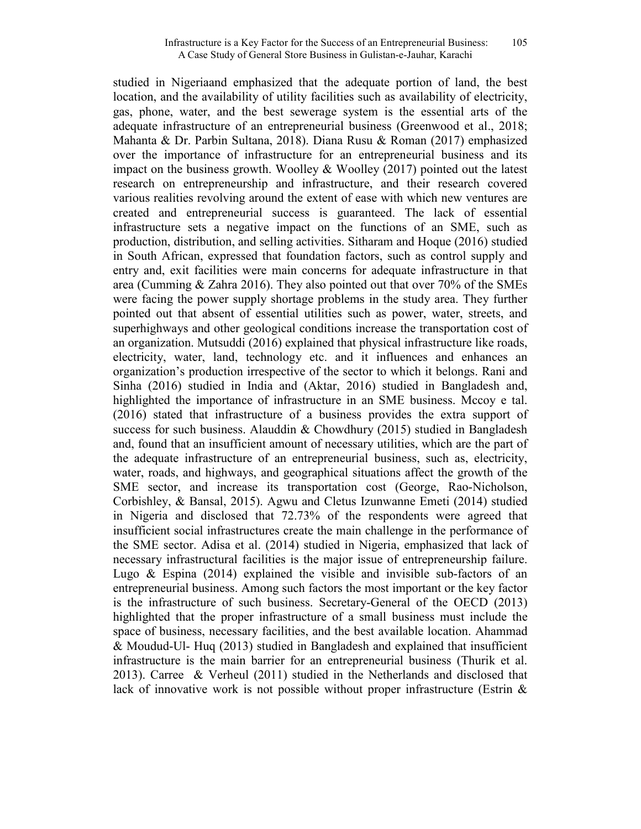studied in Nigeriaand emphasized that the adequate portion of land, the best location, and the availability of utility facilities such as availability of electricity, gas, phone, water, and the best sewerage system is the essential arts of the adequate infrastructure of an entrepreneurial business (Greenwood et al., 2018; Mahanta & Dr. Parbin Sultana, 2018). Diana Rusu & Roman (2017) emphasized over the importance of infrastructure for an entrepreneurial business and its impact on the business growth. Woolley  $&$  Woolley (2017) pointed out the latest research on entrepreneurship and infrastructure, and their research covered various realities revolving around the extent of ease with which new ventures are created and entrepreneurial success is guaranteed. The lack of essential infrastructure sets a negative impact on the functions of an SME, such as production, distribution, and selling activities. Sitharam and Hoque (2016) studied in South African, expressed that foundation factors, such as control supply and entry and, exit facilities were main concerns for adequate infrastructure in that area (Cumming & Zahra 2016). They also pointed out that over 70% of the SMEs were facing the power supply shortage problems in the study area. They further pointed out that absent of essential utilities such as power, water, streets, and superhighways and other geological conditions increase the transportation cost of an organization. Mutsuddi (2016) explained that physical infrastructure like roads, electricity, water, land, technology etc. and it influences and enhances an organization's production irrespective of the sector to which it belongs. Rani and Sinha (2016) studied in India and (Aktar, 2016) studied in Bangladesh and, highlighted the importance of infrastructure in an SME business. Mccoy e tal. (2016) stated that infrastructure of a business provides the extra support of success for such business. Alauddin & Chowdhury (2015) studied in Bangladesh and, found that an insufficient amount of necessary utilities, which are the part of the adequate infrastructure of an entrepreneurial business, such as, electricity, water, roads, and highways, and geographical situations affect the growth of the SME sector, and increase its transportation cost (George, Rao-Nicholson, Corbishley, & Bansal, 2015). Agwu and Cletus Izunwanne Emeti (2014) studied in Nigeria and disclosed that 72.73% of the respondents were agreed that insufficient social infrastructures create the main challenge in the performance of the SME sector. Adisa et al. (2014) studied in Nigeria, emphasized that lack of necessary infrastructural facilities is the major issue of entrepreneurship failure. Lugo  $\&$  Espina (2014) explained the visible and invisible sub-factors of an entrepreneurial business. Among such factors the most important or the key factor is the infrastructure of such business. Secretary-General of the OECD (2013) highlighted that the proper infrastructure of a small business must include the space of business, necessary facilities, and the best available location. Ahammad & Moudud-Ul- Huq (2013) studied in Bangladesh and explained that insufficient infrastructure is the main barrier for an entrepreneurial business (Thurik et al. 2013). Carree & Verheul (2011) studied in the Netherlands and disclosed that lack of innovative work is not possible without proper infrastructure (Estrin &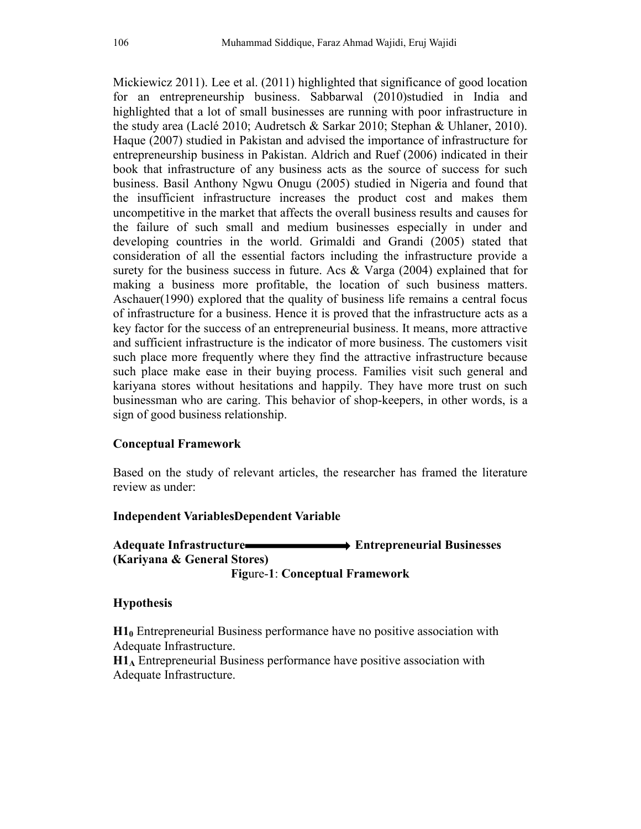Mickiewicz 2011). Lee et al. (2011) highlighted that significance of good location for an entrepreneurship business. Sabbarwal (2010)studied in India and highlighted that a lot of small businesses are running with poor infrastructure in the study area (Laclé 2010; Audretsch & Sarkar 2010; Stephan & Uhlaner, 2010). Haque (2007) studied in Pakistan and advised the importance of infrastructure for entrepreneurship business in Pakistan. Aldrich and Ruef (2006) indicated in their book that infrastructure of any business acts as the source of success for such business. Basil Anthony Ngwu Onugu (2005) studied in Nigeria and found that the insufficient infrastructure increases the product cost and makes them uncompetitive in the market that affects the overall business results and causes for the failure of such small and medium businesses especially in under and developing countries in the world. Grimaldi and Grandi (2005) stated that consideration of all the essential factors including the infrastructure provide a surety for the business success in future. Acs  $\&$  Varga (2004) explained that for making a business more profitable, the location of such business matters. Aschauer(1990) explored that the quality of business life remains a central focus of infrastructure for a business. Hence it is proved that the infrastructure acts as a key factor for the success of an entrepreneurial business. It means, more attractive and sufficient infrastructure is the indicator of more business. The customers visit such place more frequently where they find the attractive infrastructure because such place make ease in their buying process. Families visit such general and kariyana stores without hesitations and happily. They have more trust on such businessman who are caring. This behavior of shop-keepers, in other words, is a sign of good business relationship.

# **Conceptual Framework**

Based on the study of relevant articles, the researcher has framed the literature review as under:

### **Independent VariablesDependent Variable**

### Adequate Infrastructure **Entrepreneurial Businesses (Kariyana & General Stores) Fig**ure-**1**: **Conceptual Framework**

### **Hypothesis**

**H1<sup>0</sup>** Entrepreneurial Business performance have no positive association with Adequate Infrastructure.

**H1A** Entrepreneurial Business performance have positive association with Adequate Infrastructure.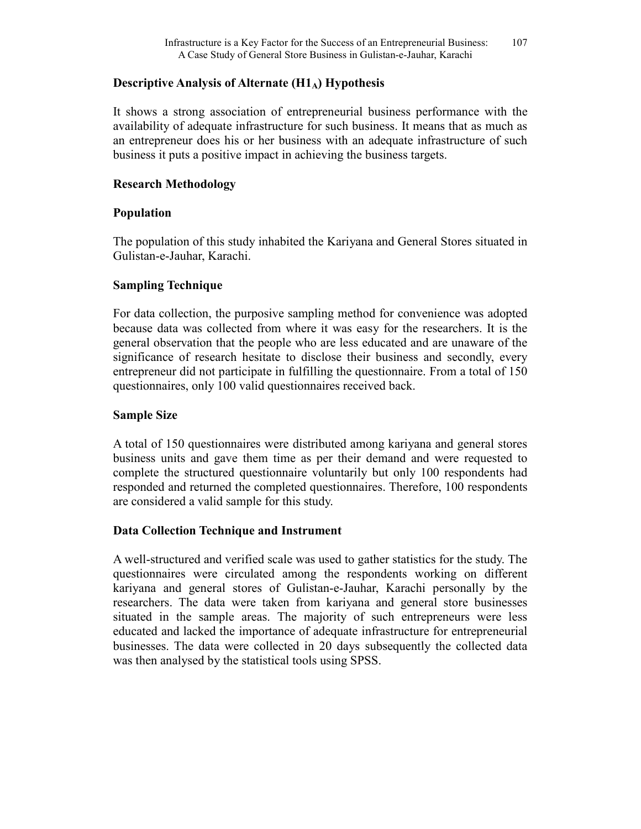### **Descriptive Analysis of Alternate (H1A) Hypothesis**

It shows a strong association of entrepreneurial business performance with the availability of adequate infrastructure for such business. It means that as much as an entrepreneur does his or her business with an adequate infrastructure of such business it puts a positive impact in achieving the business targets.

### **Research Methodology**

### **Population**

The population of this study inhabited the Kariyana and General Stores situated in Gulistan-e-Jauhar, Karachi.

### **Sampling Technique**

For data collection, the purposive sampling method for convenience was adopted because data was collected from where it was easy for the researchers. It is the general observation that the people who are less educated and are unaware of the significance of research hesitate to disclose their business and secondly, every entrepreneur did not participate in fulfilling the questionnaire. From a total of 150 questionnaires, only 100 valid questionnaires received back.

### **Sample Size**

A total of 150 questionnaires were distributed among kariyana and general stores business units and gave them time as per their demand and were requested to complete the structured questionnaire voluntarily but only 100 respondents had responded and returned the completed questionnaires. Therefore, 100 respondents are considered a valid sample for this study.

### **Data Collection Technique and Instrument**

A well-structured and verified scale was used to gather statistics for the study. The questionnaires were circulated among the respondents working on different kariyana and general stores of Gulistan-e-Jauhar, Karachi personally by the researchers. The data were taken from kariyana and general store businesses situated in the sample areas. The majority of such entrepreneurs were less educated and lacked the importance of adequate infrastructure for entrepreneurial businesses. The data were collected in 20 days subsequently the collected data was then analysed by the statistical tools using SPSS.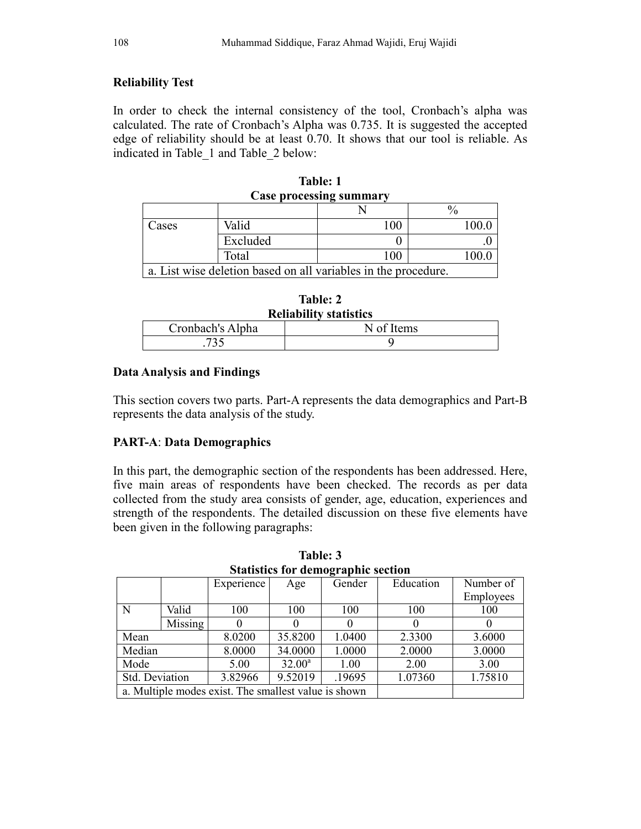# **Reliability Test**

In order to check the internal consistency of the tool, Cronbach's alpha was calculated. The rate of Cronbach's Alpha was 0.735. It is suggested the accepted edge of reliability should be at least 0.70. It shows that our tool is reliable. As indicated in Table\_1 and Table\_2 below:

| <b>Case processing summary</b> |          |                                                                |       |  |  |  |  |
|--------------------------------|----------|----------------------------------------------------------------|-------|--|--|--|--|
|                                |          |                                                                |       |  |  |  |  |
| Cases                          | Valid    | 100                                                            | 100.0 |  |  |  |  |
|                                | Excluded |                                                                |       |  |  |  |  |
|                                | Total    | 100                                                            |       |  |  |  |  |
|                                |          | a. List wise deletion based on all variables in the procedure. |       |  |  |  |  |

| Table: 1                       |
|--------------------------------|
| <b>Case processing summary</b> |

| Table: 2                      |  |
|-------------------------------|--|
| <b>Reliability statistics</b> |  |

| KUHADHIIV SIAUSUUS |            |  |  |  |  |
|--------------------|------------|--|--|--|--|
| Cronbach's Alpha   | N of Items |  |  |  |  |
|                    |            |  |  |  |  |

### **Data Analysis and Findings**

This section covers two parts. Part-A represents the data demographics and Part-B represents the data analysis of the study.

# **PART-A**: **Data Demographics**

In this part, the demographic section of the respondents has been addressed. Here, five main areas of respondents have been checked. The records as per data collected from the study area consists of gender, age, education, experiences and strength of the respondents. The detailed discussion on these five elements have been given in the following paragraphs:

| Statistics for define applife section |                                                      |            |           |        |           |           |  |
|---------------------------------------|------------------------------------------------------|------------|-----------|--------|-----------|-----------|--|
|                                       |                                                      | Experience | Age       | Gender | Education | Number of |  |
|                                       |                                                      |            |           |        |           | Employees |  |
| N                                     | Valid                                                | 100        | 100       | 100    | 100       | 100       |  |
|                                       | Missing                                              | 0          |           |        |           | O         |  |
| Mean                                  |                                                      | 8.0200     | 35.8200   | 1.0400 | 2.3300    | 3.6000    |  |
| Median                                |                                                      | 8.0000     | 34.0000   | 1.0000 | 2.0000    | 3.0000    |  |
| Mode                                  |                                                      | 5.00       | $32.00^a$ | 1.00   | 2.00      | 3.00      |  |
| Std. Deviation                        |                                                      | 3.82966    | 9.52019   | .19695 | 1.07360   | 1.75810   |  |
|                                       | a. Multiple modes exist. The smallest value is shown |            |           |        |           |           |  |

**Table: 3 Statistics for demographic section**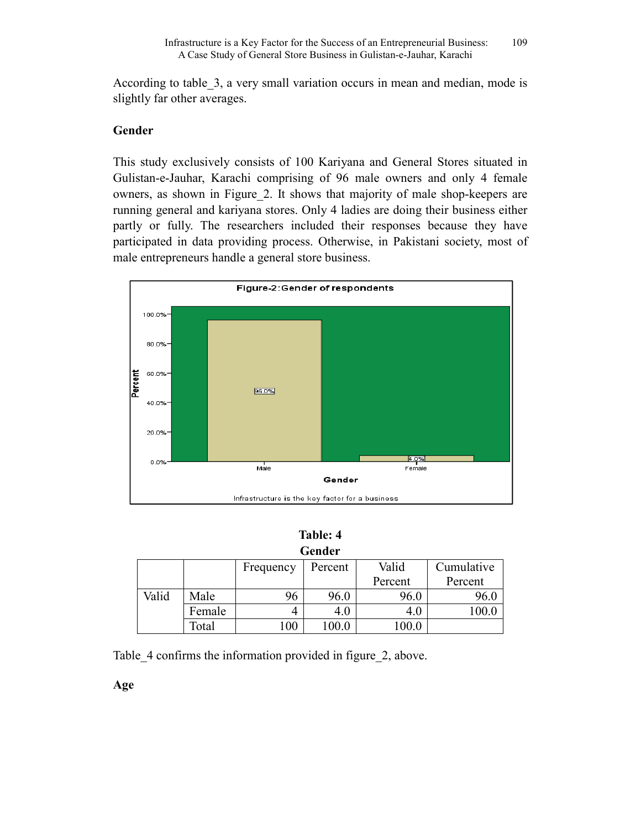According to table\_3, a very small variation occurs in mean and median, mode is slightly far other averages.

### **Gender**

This study exclusively consists of 100 Kariyana and General Stores situated in Gulistan-e-Jauhar, Karachi comprising of 96 male owners and only 4 female owners, as shown in Figure\_2. It shows that majority of male shop-keepers are running general and kariyana stores. Only 4 ladies are doing their business either partly or fully. The researchers included their responses because they have participated in data providing process. Otherwise, in Pakistani society, most of male entrepreneurs handle a general store business.



| Table: 4 |  |
|----------|--|
| Condor   |  |

| uuu   |        |           |         |         |            |  |  |
|-------|--------|-----------|---------|---------|------------|--|--|
|       |        | Frequency | Percent | Valid   | Cumulative |  |  |
|       |        |           |         | Percent | Percent    |  |  |
| Valid | Male   | 96        | 96.0    | 96.0    | 96.0       |  |  |
|       | Female | 4         | 4.0     | 4.U     |            |  |  |
|       | Total  | 100       | 0.00    | 100.0   |            |  |  |

Table 4 confirms the information provided in figure 2, above.

**Age**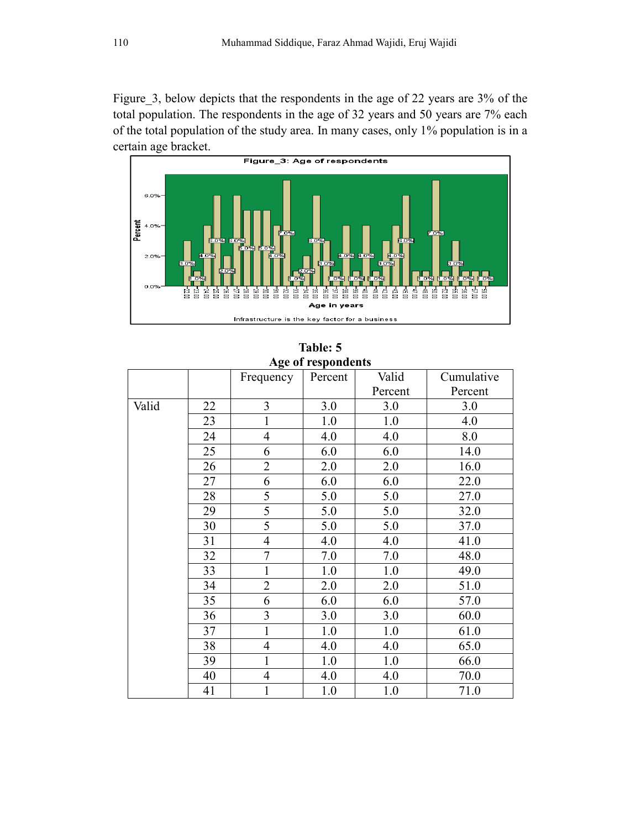Figure\_3, below depicts that the respondents in the age of 22 years are 3% of the total population. The respondents in the age of 32 years and 50 years are 7% each of the total population of the study area. In many cases, only 1% population is in a certain age bracket.



| $\Delta g$ c or respondents |    |                |         |         |            |  |
|-----------------------------|----|----------------|---------|---------|------------|--|
|                             |    | Frequency      | Percent | Valid   | Cumulative |  |
|                             |    |                |         | Percent | Percent    |  |
| Valid                       | 22 | $\overline{3}$ | 3.0     | 3.0     | 3.0        |  |
|                             | 23 | 1              | 1.0     | 1.0     | 4.0        |  |
|                             | 24 | $\overline{4}$ | 4.0     | 4.0     | 8.0        |  |
|                             | 25 | 6              | 6.0     | 6.0     | 14.0       |  |
|                             | 26 | $\overline{2}$ | 2.0     | 2.0     | 16.0       |  |
|                             | 27 | 6              | 6.0     | 6.0     | 22.0       |  |
|                             | 28 | 5              | 5.0     | 5.0     | 27.0       |  |
|                             | 29 | 5              | 5.0     | 5.0     | 32.0       |  |
|                             | 30 | 5              | 5.0     | 5.0     | 37.0       |  |
|                             | 31 | $\overline{4}$ | 4.0     | 4.0     | 41.0       |  |
|                             | 32 | $\overline{7}$ | 7.0     | 7.0     | 48.0       |  |
|                             | 33 | 1              | 1.0     | 1.0     | 49.0       |  |
|                             | 34 | $\overline{2}$ | 2.0     | 2.0     | 51.0       |  |
|                             | 35 | 6              | 6.0     | 6.0     | 57.0       |  |
|                             | 36 | $\overline{3}$ | 3.0     | 3.0     | 60.0       |  |
|                             | 37 | $\mathbf{1}$   | 1.0     | 1.0     | 61.0       |  |
|                             | 38 | $\overline{4}$ | 4.0     | 4.0     | 65.0       |  |
|                             | 39 | 1              | 1.0     | 1.0     | 66.0       |  |
|                             | 40 | $\overline{4}$ | 4.0     | 4.0     | 70.0       |  |
|                             | 41 | 1              | 1.0     | 1.0     | 71.0       |  |

**Table: 5 Age of respondents**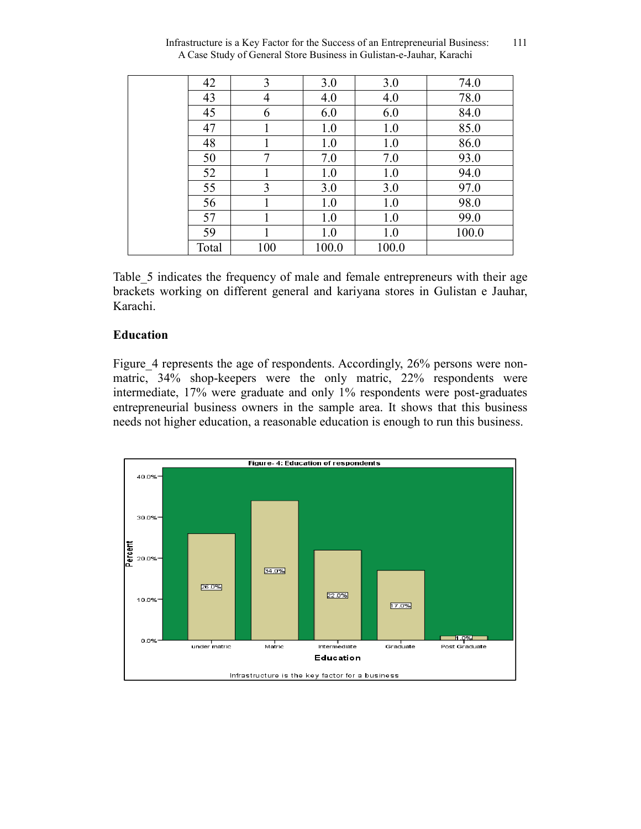| 42    | 3              | 3.0   | 3.0   | 74.0  |
|-------|----------------|-------|-------|-------|
| 43    | $\overline{4}$ | 4.0   | 4.0   | 78.0  |
| 45    | 6              | 6.0   | 6.0   | 84.0  |
| 47    |                | 1.0   | 1.0   | 85.0  |
| 48    |                | 1.0   | 1.0   | 86.0  |
| 50    | 7              | 7.0   | 7.0   | 93.0  |
| 52    |                | 1.0   | 1.0   | 94.0  |
| 55    | 3              | 3.0   | 3.0   | 97.0  |
| 56    |                | 1.0   | 1.0   | 98.0  |
| 57    |                | 1.0   | 1.0   | 99.0  |
| 59    |                | 1.0   | 1.0   | 100.0 |
| Total | 100            | 100.0 | 100.0 |       |
|       |                |       |       |       |

Infrastructure is a Key Factor for the Success of an Entrepreneurial Business: 111 A Case Study of General Store Business in Gulistan-e-Jauhar, Karachi

Table 5 indicates the frequency of male and female entrepreneurs with their age brackets working on different general and kariyana stores in Gulistan e Jauhar, Karachi.

#### **Education**

Figure 4 represents the age of respondents. Accordingly, 26% persons were nonmatric, 34% shop-keepers were the only matric, 22% respondents were intermediate, 17% were graduate and only 1% respondents were post-graduates entrepreneurial business owners in the sample area. It shows that this business needs not higher education, a reasonable education is enough to run this business.

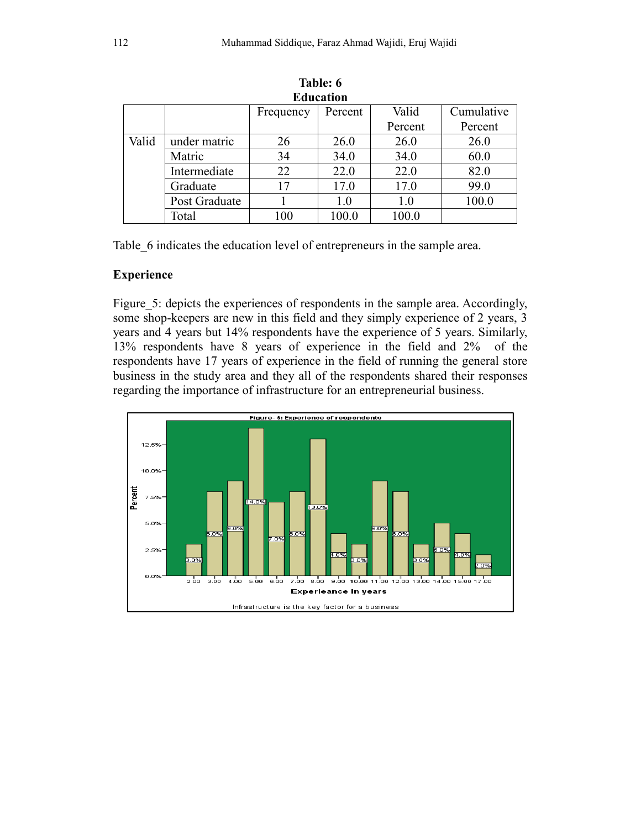| <b>Education</b> |               |           |         |         |            |  |  |
|------------------|---------------|-----------|---------|---------|------------|--|--|
|                  |               | Frequency | Percent | Valid   | Cumulative |  |  |
|                  |               |           |         | Percent | Percent    |  |  |
| Valid            | under matric  | 26        | 26.0    | 26.0    | 26.0       |  |  |
|                  | Matric        | 34        | 34.0    | 34.0    | 60.0       |  |  |
|                  | Intermediate  | 22        | 22.0    | 22.0    | 82.0       |  |  |
|                  | Graduate      | 17        | 17.0    | 17.0    | 99.0       |  |  |
|                  | Post Graduate |           | 1.0     | 1.0     | 100.0      |  |  |
|                  | Total         | 100       | 100.0   | 100.0   |            |  |  |

**Table: 6 Education** 

Table\_6 indicates the education level of entrepreneurs in the sample area.

### **Experience**

Figure 5: depicts the experiences of respondents in the sample area. Accordingly, some shop-keepers are new in this field and they simply experience of 2 years, 3 years and 4 years but 14% respondents have the experience of 5 years. Similarly, 13% respondents have 8 years of experience in the field and 2% of the respondents have 17 years of experience in the field of running the general store business in the study area and they all of the respondents shared their responses regarding the importance of infrastructure for an entrepreneurial business.

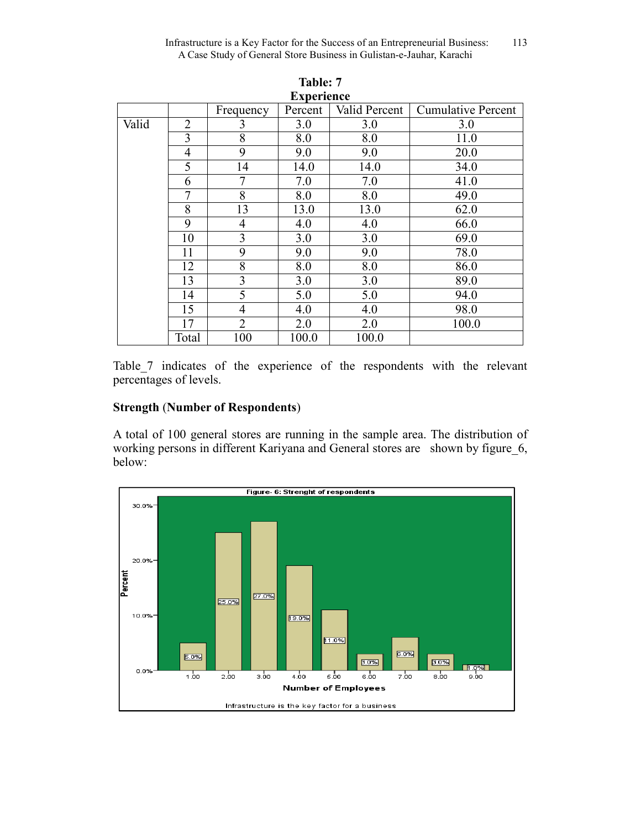| <b>Experience</b> |                |                |         |               |                           |  |  |
|-------------------|----------------|----------------|---------|---------------|---------------------------|--|--|
|                   |                | Frequency      | Percent | Valid Percent | <b>Cumulative Percent</b> |  |  |
| Valid             | $\overline{2}$ | 3              | 3.0     | 3.0           | 3.0                       |  |  |
|                   | 3              | 8              | 8.0     | 8.0           | 11.0                      |  |  |
|                   | $\overline{4}$ | 9              | 9.0     | 9.0           | 20.0                      |  |  |
|                   | 5              | 14             | 14.0    | 14.0          | 34.0                      |  |  |
|                   | 6              | 7              | 7.0     | 7.0           | 41.0                      |  |  |
|                   | $\overline{7}$ | 8              | 8.0     | 8.0           | 49.0                      |  |  |
|                   | 8              | 13             | 13.0    | 13.0          | 62.0                      |  |  |
|                   | 9              | 4              | 4.0     | 4.0           | 66.0                      |  |  |
|                   | 10             | 3              | 3.0     | 3.0           | 69.0                      |  |  |
|                   | 11             | 9              | 9.0     | 9.0           | 78.0                      |  |  |
|                   | 12             | 8              | 8.0     | 8.0           | 86.0                      |  |  |
|                   | 13             | 3              | 3.0     | 3.0           | 89.0                      |  |  |
|                   | 14             | 5              | 5.0     | 5.0           | 94.0                      |  |  |
|                   | 15             | 4              | 4.0     | 4.0           | 98.0                      |  |  |
|                   | 17             | $\overline{2}$ | 2.0     | 2.0           | 100.0                     |  |  |
|                   | Total          | 100            | 100.0   | 100.0         |                           |  |  |

**Table: 7 Experience**

Table 7 indicates of the experience of the respondents with the relevant percentages of levels.

# **Strength** (**Number of Respondents**)

A total of 100 general stores are running in the sample area. The distribution of working persons in different Kariyana and General stores are shown by figure\_6, below:

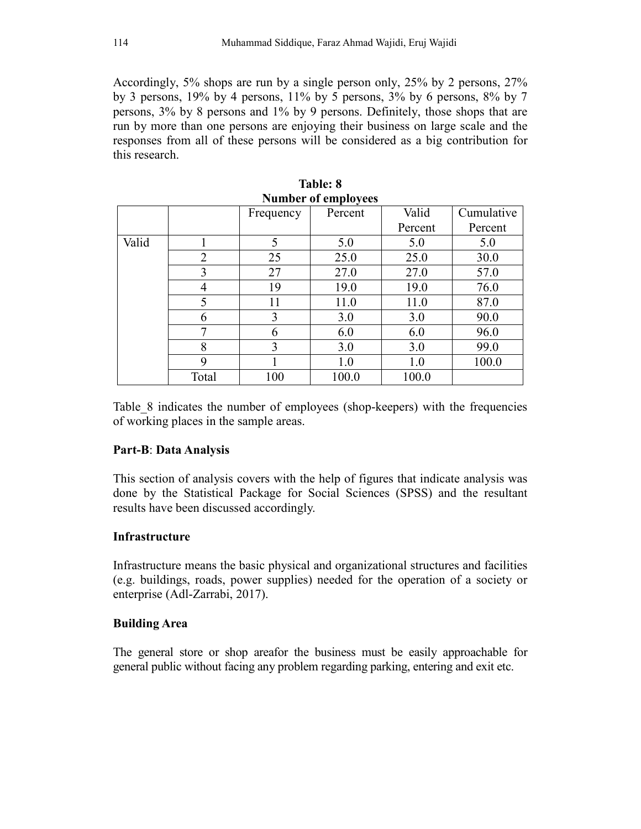Accordingly, 5% shops are run by a single person only, 25% by 2 persons, 27% by 3 persons, 19% by 4 persons, 11% by 5 persons, 3% by 6 persons, 8% by 7 persons, 3% by 8 persons and 1% by 9 persons. Definitely, those shops that are run by more than one persons are enjoying their business on large scale and the responses from all of these persons will be considered as a big contribution for this research.

| танност от спіріозсез |       |           |         |         |            |  |  |
|-----------------------|-------|-----------|---------|---------|------------|--|--|
|                       |       | Frequency | Percent | Valid   | Cumulative |  |  |
|                       |       |           |         | Percent | Percent    |  |  |
| Valid                 |       | 5         | 5.0     | 5.0     | 5.0        |  |  |
|                       | 2     | 25        | 25.0    | 25.0    | 30.0       |  |  |
|                       | 3     | 27        | 27.0    | 27.0    | 57.0       |  |  |
|                       | 4     | 19        | 19.0    | 19.0    | 76.0       |  |  |
|                       | 5     | 11        | 11.0    | 11.0    | 87.0       |  |  |
|                       | 6     | 3         | 3.0     | 3.0     | 90.0       |  |  |
|                       | 7     | 6         | 6.0     | 6.0     | 96.0       |  |  |
|                       | 8     | 3         | 3.0     | 3.0     | 99.0       |  |  |
|                       | 9     |           | 1.0     | 1.0     | 100.0      |  |  |
|                       | Total | 100       | 100.0   | 100.0   |            |  |  |

**Table: 8 Number of employees** 

Table\_8 indicates the number of employees (shop-keepers) with the frequencies of working places in the sample areas.

# **Part-B**: **Data Analysis**

This section of analysis covers with the help of figures that indicate analysis was done by the Statistical Package for Social Sciences (SPSS) and the resultant results have been discussed accordingly.

### **Infrastructure**

Infrastructure means the basic physical and organizational structures and facilities (e.g. buildings, roads, power supplies) needed for the operation of a society or enterprise (Adl-Zarrabi, 2017).

### **Building Area**

The general store or shop areafor the business must be easily approachable for general public without facing any problem regarding parking, entering and exit etc.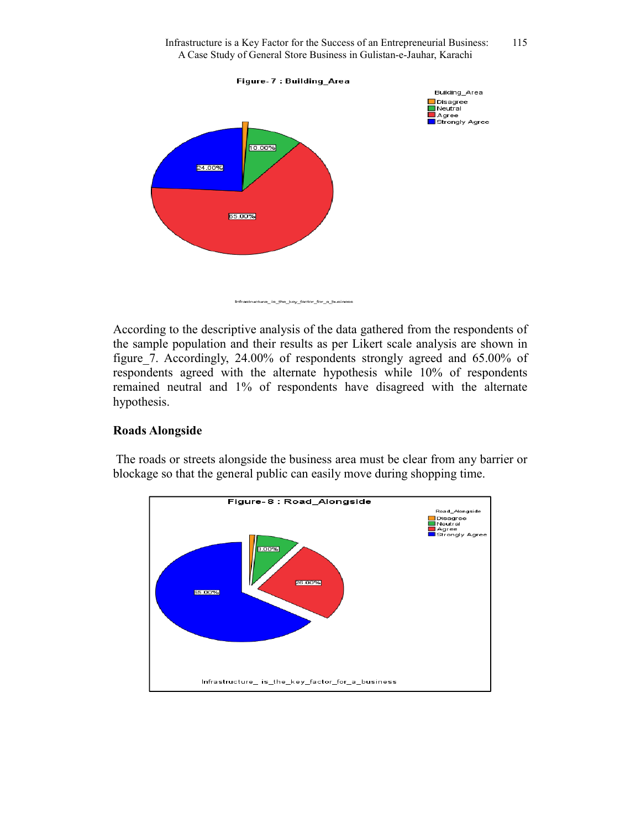

Infrastructure\_is\_the\_key\_factor\_for\_a\_business

According to the descriptive analysis of the data gathered from the respondents of the sample population and their results as per Likert scale analysis are shown in figure 7. Accordingly, 24.00% of respondents strongly agreed and 65.00% of respondents agreed with the alternate hypothesis while 10% of respondents remained neutral and 1% of respondents have disagreed with the alternate hypothesis.

### **Roads Alongside**

 The roads or streets alongside the business area must be clear from any barrier or blockage so that the general public can easily move during shopping time.

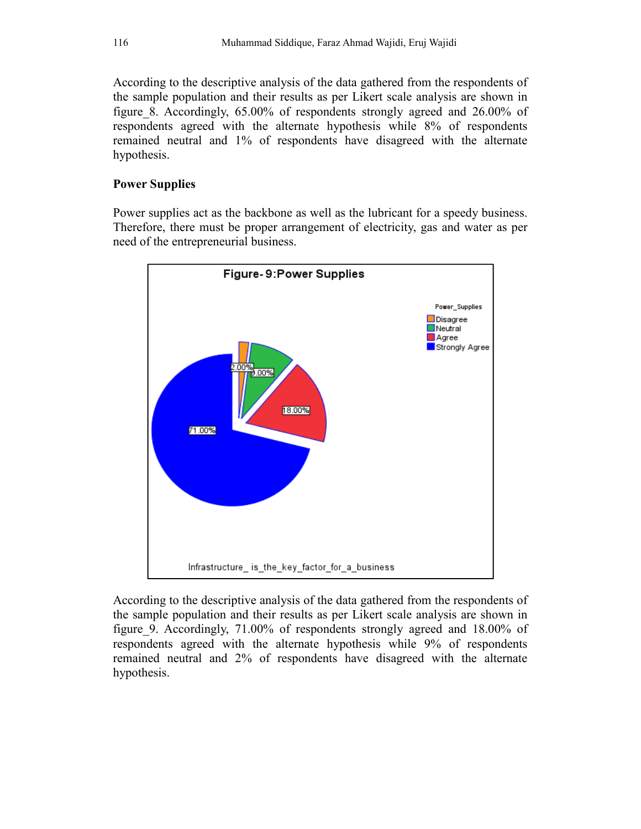According to the descriptive analysis of the data gathered from the respondents of the sample population and their results as per Likert scale analysis are shown in figure\_8. Accordingly, 65.00% of respondents strongly agreed and 26.00% of respondents agreed with the alternate hypothesis while 8% of respondents remained neutral and 1% of respondents have disagreed with the alternate hypothesis.

### **Power Supplies**

Power supplies act as the backbone as well as the lubricant for a speedy business. Therefore, there must be proper arrangement of electricity, gas and water as per need of the entrepreneurial business.



According to the descriptive analysis of the data gathered from the respondents of the sample population and their results as per Likert scale analysis are shown in figure\_9. Accordingly, 71.00% of respondents strongly agreed and 18.00% of respondents agreed with the alternate hypothesis while 9% of respondents remained neutral and 2% of respondents have disagreed with the alternate hypothesis.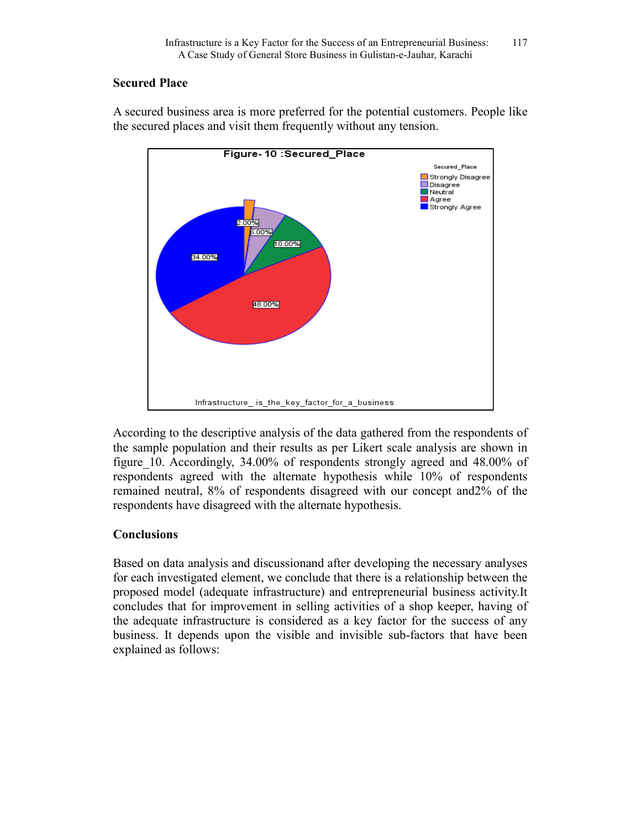### **Secured Place**

A secured business area is more preferred for the potential customers. People like the secured places and visit them frequently without any tension.



According to the descriptive analysis of the data gathered from the respondents of the sample population and their results as per Likert scale analysis are shown in figure\_10. Accordingly, 34.00% of respondents strongly agreed and 48.00% of respondents agreed with the alternate hypothesis while 10% of respondents remained neutral, 8% of respondents disagreed with our concept and2% of the respondents have disagreed with the alternate hypothesis.

# **Conclusions**

Based on data analysis and discussionand after developing the necessary analyses for each investigated element, we conclude that there is a relationship between the proposed model (adequate infrastructure) and entrepreneurial business activity.It concludes that for improvement in selling activities of a shop keeper, having of the adequate infrastructure is considered as a key factor for the success of any business. It depends upon the visible and invisible sub-factors that have been explained as follows: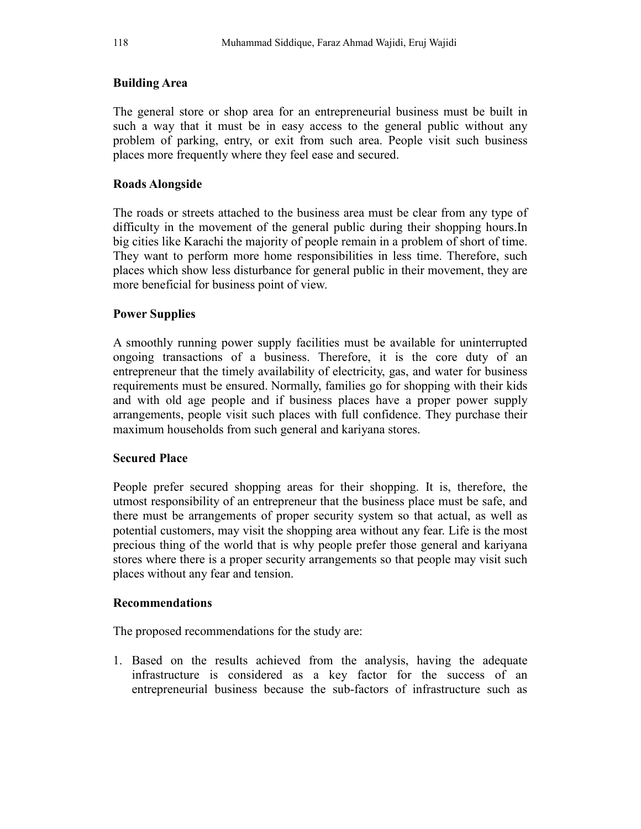### **Building Area**

The general store or shop area for an entrepreneurial business must be built in such a way that it must be in easy access to the general public without any problem of parking, entry, or exit from such area. People visit such business places more frequently where they feel ease and secured.

### **Roads Alongside**

The roads or streets attached to the business area must be clear from any type of difficulty in the movement of the general public during their shopping hours.In big cities like Karachi the majority of people remain in a problem of short of time. They want to perform more home responsibilities in less time. Therefore, such places which show less disturbance for general public in their movement, they are more beneficial for business point of view.

### **Power Supplies**

A smoothly running power supply facilities must be available for uninterrupted ongoing transactions of a business. Therefore, it is the core duty of an entrepreneur that the timely availability of electricity, gas, and water for business requirements must be ensured. Normally, families go for shopping with their kids and with old age people and if business places have a proper power supply arrangements, people visit such places with full confidence. They purchase their maximum households from such general and kariyana stores.

### **Secured Place**

People prefer secured shopping areas for their shopping. It is, therefore, the utmost responsibility of an entrepreneur that the business place must be safe, and there must be arrangements of proper security system so that actual, as well as potential customers, may visit the shopping area without any fear. Life is the most precious thing of the world that is why people prefer those general and kariyana stores where there is a proper security arrangements so that people may visit such places without any fear and tension.

### **Recommendations**

The proposed recommendations for the study are:

1. Based on the results achieved from the analysis, having the adequate infrastructure is considered as a key factor for the success of an entrepreneurial business because the sub-factors of infrastructure such as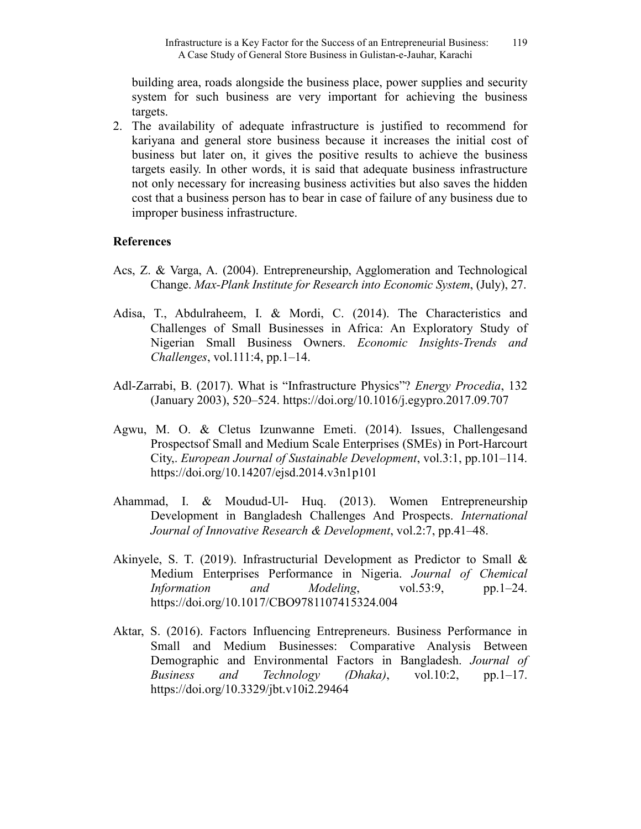building area, roads alongside the business place, power supplies and security system for such business are very important for achieving the business targets.

2. The availability of adequate infrastructure is justified to recommend for kariyana and general store business because it increases the initial cost of business but later on, it gives the positive results to achieve the business targets easily. In other words, it is said that adequate business infrastructure not only necessary for increasing business activities but also saves the hidden cost that a business person has to bear in case of failure of any business due to improper business infrastructure.

### **References**

- Acs, Z. & Varga, A. (2004). Entrepreneurship, Agglomeration and Technological Change. *Max-Plank Institute for Research into Economic System*, (July), 27.
- Adisa, T., Abdulraheem, I. & Mordi, C. (2014). The Characteristics and Challenges of Small Businesses in Africa: An Exploratory Study of Nigerian Small Business Owners. *Economic Insights-Trends and Challenges*, vol.111:4, pp.1–14.
- Adl-Zarrabi, B. (2017). What is "Infrastructure Physics"? *Energy Procedia*, 132 (January 2003), 520–524. https://doi.org/10.1016/j.egypro.2017.09.707
- Agwu, M. O. & Cletus Izunwanne Emeti. (2014). Issues, Challengesand Prospectsof Small and Medium Scale Enterprises (SMEs) in Port-Harcourt City,. *European Journal of Sustainable Development*, vol.3:1, pp.101–114. https://doi.org/10.14207/ejsd.2014.v3n1p101
- Ahammad, I. & Moudud-Ul- Huq. (2013). Women Entrepreneurship Development in Bangladesh Challenges And Prospects. *International Journal of Innovative Research & Development*, vol.2:7, pp.41–48.
- Akinyele, S. T. (2019). Infrastructurial Development as Predictor to Small & Medium Enterprises Performance in Nigeria. *Journal of Chemical Information* and *Modeling*, vol.53:9, pp.1–24. https://doi.org/10.1017/CBO9781107415324.004
- Aktar, S. (2016). Factors Influencing Entrepreneurs. Business Performance in Small and Medium Businesses: Comparative Analysis Between Demographic and Environmental Factors in Bangladesh. *Journal of Business and Technology (Dhaka)*, vol.10:2, pp.1–17. https://doi.org/10.3329/jbt.v10i2.29464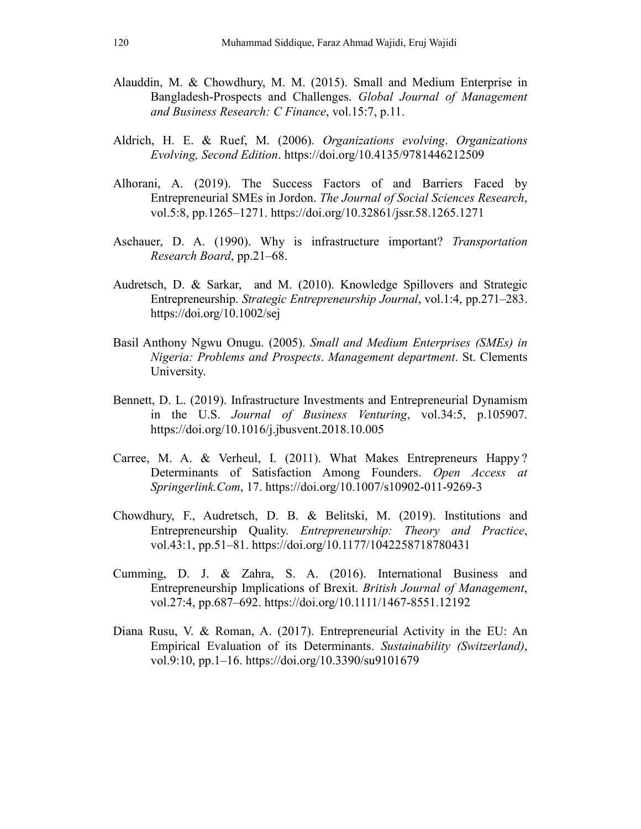- Alauddin, M. & Chowdhury, M. M. (2015). Small and Medium Enterprise in Bangladesh-Prospects and Challenges. *Global Journal of Management and Business Research: C Finance*, vol.15:7, p.11.
- Aldrich, H. E. & Ruef, M. (2006). *Organizations evolving*. *Organizations Evolving, Second Edition*. https://doi.org/10.4135/9781446212509
- Alhorani, A. (2019). The Success Factors of and Barriers Faced by Entrepreneurial SMEs in Jordon. *The Journal of Social Sciences Research*, vol.5:8, pp.1265–1271. https://doi.org/10.32861/jssr.58.1265.1271
- Aschauer, D. A. (1990). Why is infrastructure important? *Transportation Research Board*, pp.21–68.
- Audretsch, D. & Sarkar, and M. (2010). Knowledge Spillovers and Strategic Entrepreneurship. *Strategic Entrepreneurship Journal*, vol.1:4, pp.271–283. https://doi.org/10.1002/sej
- Basil Anthony Ngwu Onugu. (2005). *Small and Medium Enterprises (SMEs) in Nigeria: Problems and Prospects*. *Management department*. St. Clements University.
- Bennett, D. L. (2019). Infrastructure Investments and Entrepreneurial Dynamism in the U.S. *Journal of Business Venturing*, vol.34:5, p.105907. https://doi.org/10.1016/j.jbusvent.2018.10.005
- Carree, M. A. & Verheul, I. (2011). What Makes Entrepreneurs Happy ? Determinants of Satisfaction Among Founders. *Open Access at Springerlink.Com*, 17. https://doi.org/10.1007/s10902-011-9269-3
- Chowdhury, F., Audretsch, D. B. & Belitski, M. (2019). Institutions and Entrepreneurship Quality. *Entrepreneurship: Theory and Practice*, vol.43:1, pp.51–81. https://doi.org/10.1177/1042258718780431
- Cumming, D. J. & Zahra, S. A. (2016). International Business and Entrepreneurship Implications of Brexit. *British Journal of Management*, vol.27:4, pp.687–692. https://doi.org/10.1111/1467-8551.12192
- Diana Rusu, V. & Roman, A. (2017). Entrepreneurial Activity in the EU: An Empirical Evaluation of its Determinants. *Sustainability (Switzerland)*, vol.9:10, pp.1–16. https://doi.org/10.3390/su9101679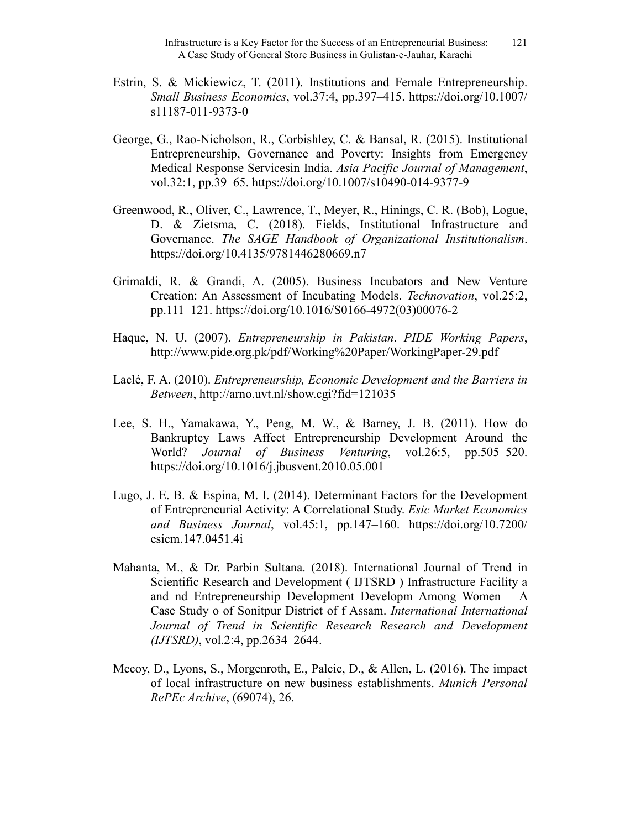- Estrin, S. & Mickiewicz, T. (2011). Institutions and Female Entrepreneurship. *Small Business Economics*, vol.37:4, pp.397–415. https://doi.org/10.1007/ s11187-011-9373-0
- George, G., Rao-Nicholson, R., Corbishley, C. & Bansal, R. (2015). Institutional Entrepreneurship, Governance and Poverty: Insights from Emergency Medical Response Servicesin India. *Asia Pacific Journal of Management*, vol.32:1, pp.39–65. https://doi.org/10.1007/s10490-014-9377-9
- Greenwood, R., Oliver, C., Lawrence, T., Meyer, R., Hinings, C. R. (Bob), Logue, D. & Zietsma, C. (2018). Fields, Institutional Infrastructure and Governance. *The SAGE Handbook of Organizational Institutionalism*. https://doi.org/10.4135/9781446280669.n7
- Grimaldi, R. & Grandi, A. (2005). Business Incubators and New Venture Creation: An Assessment of Incubating Models. *Technovation*, vol.25:2, pp.111–121. https://doi.org/10.1016/S0166-4972(03)00076-2
- Haque, N. U. (2007). *Entrepreneurship in Pakistan*. *PIDE Working Papers*, http://www.pide.org.pk/pdf/Working%20Paper/WorkingPaper-29.pdf
- Laclé, F. A. (2010). *Entrepreneurship, Economic Development and the Barriers in Between*, http://arno.uvt.nl/show.cgi?fid=121035
- Lee, S. H., Yamakawa, Y., Peng, M. W., & Barney, J. B. (2011). How do Bankruptcy Laws Affect Entrepreneurship Development Around the World? *Journal of Business Venturing*, vol.26:5, pp.505–520. https://doi.org/10.1016/j.jbusvent.2010.05.001
- Lugo, J. E. B. & Espina, M. I. (2014). Determinant Factors for the Development of Entrepreneurial Activity: A Correlational Study. *Esic Market Economics and Business Journal*, vol.45:1, pp.147–160. https://doi.org/10.7200/ esicm.147.0451.4i
- Mahanta, M., & Dr. Parbin Sultana. (2018). International Journal of Trend in Scientific Research and Development ( IJTSRD ) Infrastructure Facility a and nd Entrepreneurship Development Developm Among Women – A Case Study o of Sonitpur District of f Assam. *International International*  Journal of Trend in Scientific Research Research and Development *(IJTSRD)*, vol.2:4, pp.2634–2644.
- Mccoy, D., Lyons, S., Morgenroth, E., Palcic, D., & Allen, L. (2016). The impact of local infrastructure on new business establishments. *Munich Personal RePEc Archive*, (69074), 26.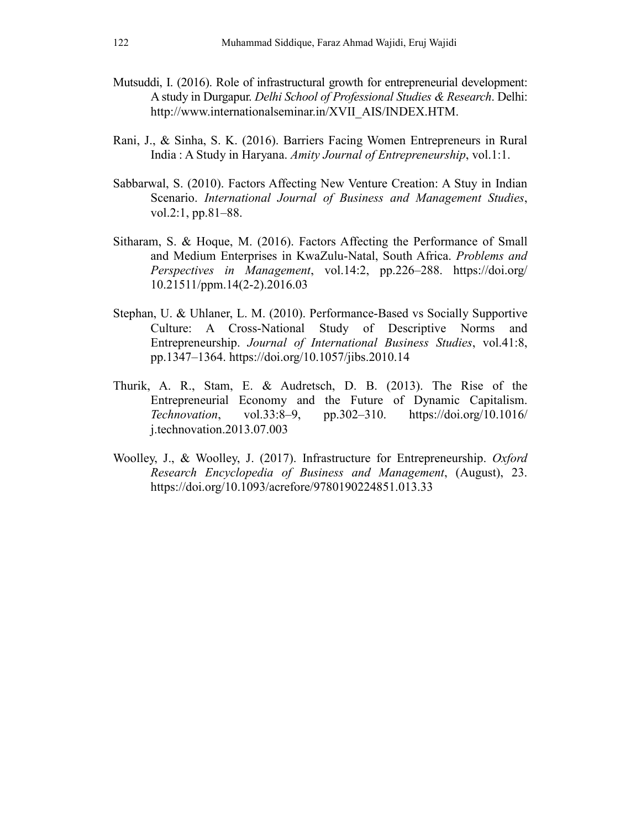- Mutsuddi, I. (2016). Role of infrastructural growth for entrepreneurial development: A study in Durgapur. *Delhi School of Professional Studies & Research*. Delhi: http://www.internationalseminar.in/XVII\_AIS/INDEX.HTM.
- Rani, J., & Sinha, S. K. (2016). Barriers Facing Women Entrepreneurs in Rural India : A Study in Haryana. *Amity Journal of Entrepreneurship*, vol.1:1.
- Sabbarwal, S. (2010). Factors Affecting New Venture Creation: A Stuy in Indian Scenario. *International Journal of Business and Management Studies*, vol.2:1, pp.81–88.
- Sitharam, S. & Hoque, M. (2016). Factors Affecting the Performance of Small and Medium Enterprises in KwaZulu-Natal, South Africa. *Problems and Perspectives in Management*, vol.14:2, pp.226–288. https://doi.org/ 10.21511/ppm.14(2-2).2016.03
- Stephan, U. & Uhlaner, L. M. (2010). Performance-Based vs Socially Supportive Culture: A Cross-National Study of Descriptive Norms and Entrepreneurship. *Journal of International Business Studies*, vol.41:8, pp.1347–1364. https://doi.org/10.1057/jibs.2010.14
- Thurik, A. R., Stam, E. & Audretsch, D. B. (2013). The Rise of the Entrepreneurial Economy and the Future of Dynamic Capitalism. *Technovation*, vol.33:8–9, pp.302–310. https://doi.org/10.1016/ j.technovation.2013.07.003
- Woolley, J., & Woolley, J. (2017). Infrastructure for Entrepreneurship. *Oxford Research Encyclopedia of Business and Management*, (August), 23. https://doi.org/10.1093/acrefore/9780190224851.013.33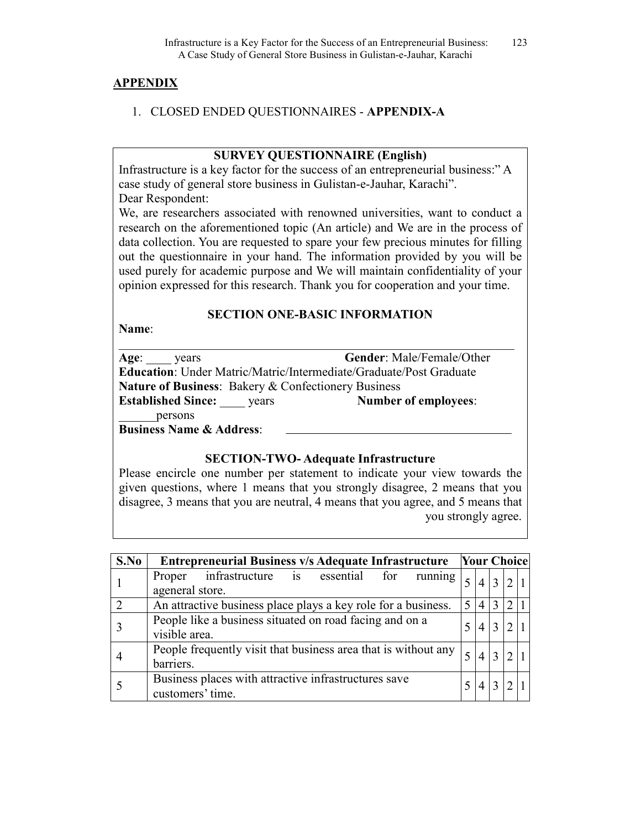#### **APPENDIX**

#### 1. CLOSED ENDED QUESTIONNAIRES - **APPENDIX-A**

#### **SURVEY QUESTIONNAIRE (English)**

Infrastructure is a key factor for the success of an entrepreneurial business:" A case study of general store business in Gulistan-e-Jauhar, Karachi". Dear Respondent:

We, are researchers associated with renowned universities, want to conduct a research on the aforementioned topic (An article) and We are in the process of data collection. You are requested to spare your few precious minutes for filling out the questionnaire in your hand. The information provided by you will be used purely for academic purpose and We will maintain confidentiality of your opinion expressed for this research. Thank you for cooperation and your time.

### **SECTION ONE-BASIC INFORMATION**

**Name**:

| Age:<br>years                                                             | <b>Gender:</b> Male/Female/Other |
|---------------------------------------------------------------------------|----------------------------------|
| <b>Education:</b> Under Matric/Matric/Intermediate/Graduate/Post Graduate |                                  |
| <b>Nature of Business: Bakery &amp; Confectionery Business</b>            |                                  |
| <b>Established Since:</b><br>vears                                        | Number of employees:             |
| persons                                                                   |                                  |
| <b>Business Name &amp; Address:</b>                                       |                                  |

#### **SECTION-TWO- Adequate Infrastructure**

Please encircle one number per statement to indicate your view towards the given questions, where 1 means that you strongly disagree, 2 means that you disagree, 3 means that you are neutral, 4 means that you agree, and 5 means that you strongly agree.

| S.No | Entrepreneurial Business v/s Adequate Infrastructure Vour Choice |                |                 |   |                             |  |
|------|------------------------------------------------------------------|----------------|-----------------|---|-----------------------------|--|
|      | Proper infrastructure is essential for running                   |                | $\overline{4}$  |   | 2 1                         |  |
|      | ageneral store.                                                  |                |                 |   |                             |  |
| 2    | An attractive business place plays a key role for a business.    | 5 <sup>1</sup> | $\vert 4 \vert$ | 3 | $\mathcal{L}$               |  |
|      | People like a business situated on road facing and on a          |                | 4               |   | 2 1                         |  |
|      | visible area.                                                    |                |                 |   |                             |  |
|      | People frequently visit that business area that is without any   |                | 4               |   | $\mathcal{D}_{\mathcal{L}}$ |  |
|      | barriers.                                                        |                |                 |   |                             |  |
|      | Business places with attractive infrastructures save             |                | 4               |   | C                           |  |
|      | customers' time.                                                 |                |                 |   |                             |  |